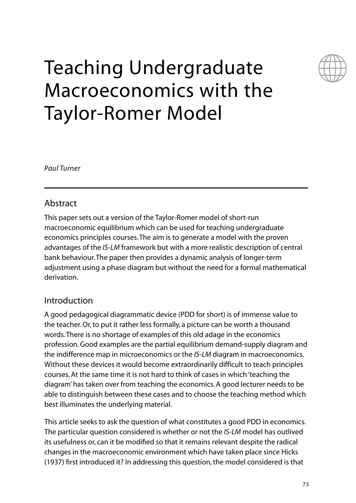

# Teaching Undergraduate Macroeconomics with the Taylor-Romer Model

*Paul Turner*

#### **Abstract**

This paper sets out a version of the Taylor-Romer model of short-run macroeconomic equilibrium which can be used for teaching undergraduate economics principles courses.The aim is to generate a model with the proven advantages of the *IS-LM* framework but with a more realistic description of central bank behaviour.The paper then provides a dynamic analysis of longer-term adjustment using a phase diagram but without the need for a formal mathematical derivation.

## Introduction

A good pedagogical diagrammatic device (PDD for short) is of immense value to the teacher. Or, to put it rather less formally, a picture can be worth a thousand words.There is no shortage of examples of this old adage in the economics profession.Good examples are the partial equilibrium demand-supply diagram and the indifference map in microeconomics or the *IS-LM* diagram in macroeconomics. Without these devices it would become extraordinarily difficult to teach principles courses. At the same time it is not hard to think of cases in which 'teaching the diagram' has taken over from teaching the economics. A good lecturer needs to be able to distinguish between these cases and to choose the teaching method which best illuminates the underlying material.

This article seeks to ask the question of what constitutes a good PDD in economics. The particular question considered is whether or not the *IS-LM* model has outlived its usefulness or, can it be modified so that it remains relevant despite the radical changes in the macroeconomic environment which have taken place since Hicks (1937) first introduced it? In addressing this question, the model considered is that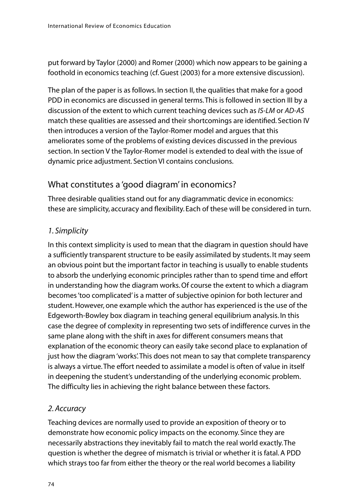put forward by Taylor (2000) and Romer (2000) which now appears to be gaining a foothold in economics teaching (cf. Guest (2003) for a more extensive discussion).

The plan of the paper is as follows. In section II, the qualities that make for a good PDD in economics are discussed in general terms.This is followed in section III by a discussion of the extent to which current teaching devices such as *IS-LM* or *AD-AS* match these qualities are assessed and their shortcomings are identified. Section IV then introduces a version of the Taylor-Romer model and argues that this ameliorates some of the problems of existing devices discussed in the previous section. In section V the Taylor-Romer model is extended to deal with the issue of dynamic price adjustment. Section VI contains conclusions.

# What constitutes a 'good diagram' in economics?

Three desirable qualities stand out for any diagrammatic device in economics: these are simplicity, accuracy and flexibility. Each of these will be considered in turn.

## *1. Simplicity*

In this context simplicity is used to mean that the diagram in question should have a sufficiently transparent structure to be easily assimilated by students. It may seem an obvious point but the important factor in teaching is usually to enable students to absorb the underlying economic principles rather than to spend time and effort in understanding how the diagram works. Of course the extent to which a diagram becomes 'too complicated' is a matter of subjective opinion for both lecturer and student. However, one example which the author has experienced is the use of the Edgeworth-Bowley box diagram in teaching general equilibrium analysis. In this case the degree of complexity in representing two sets of indifference curves in the same plane along with the shift in axes for different consumers means that explanation of the economic theory can easily take second place to explanation of just how the diagram 'works'. This does not mean to say that complete transparency is always a virtue.The effort needed to assimilate a model is often of value in itself in deepening the student's understanding of the underlying economic problem. The difficulty lies in achieving the right balance between these factors.

## *2.Accuracy*

Teaching devices are normally used to provide an exposition of theory or to demonstrate how economic policy impacts on the economy. Since they are necessarily abstractions they inevitably fail to match the real world exactly.The question is whether the degree of mismatch is trivial or whether it is fatal. A PDD which strays too far from either the theory or the real world becomes a liability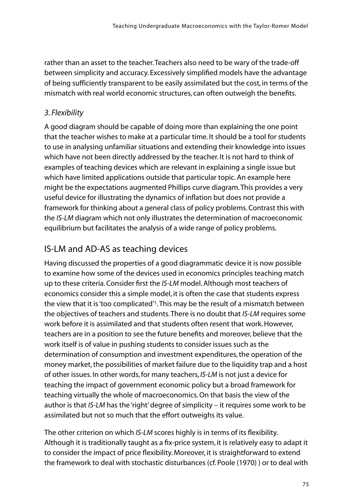rather than an asset to the teacher.Teachers also need to be wary of the trade-off between simplicity and accuracy. Excessively simplified models have the advantage of being sufficiently transparent to be easily assimilated but the cost, in terms of the mismatch with real world economic structures, can often outweigh the benefits.

## *3. Flexibility*

A good diagram should be capable of doing more than explaining the one point that the teacher wishes to make at a particular time. It should be a tool for students to use in analysing unfamiliar situations and extending their knowledge into issues which have not been directly addressed by the teacher. It is not hard to think of examples of teaching devices which are relevant in explaining a single issue but which have limited applications outside that particular topic. An example here might be the expectations augmented Phillips curve diagram.This provides a very useful device for illustrating the dynamics of inflation but does not provide a framework for thinking about a general class of policy problems. Contrast this with the *IS-LM* diagram which not only illustrates the determination of macroeconomic equilibrium but facilitates the analysis of a wide range of policy problems.

# IS-LM and AD-AS as teaching devices

Having discussed the properties of a good diagrammatic device it is now possible to examine how some of the devices used in economics principles teaching match up to these criteria. Consider first the *IS-LM* model. Although most teachers of economics consider this a simple model, it is often the case that students express the view that it is 'too complicated'1.This may be the result of a mismatch between the objectives of teachers and students.There is no doubt that *IS-LM* requires some work before it is assimilated and that students often resent that work. However, teachers are in a position to see the future benefits and moreover, believe that the work itself is of value in pushing students to consider issues such as the determination of consumption and investment expenditures, the operation of the money market, the possibilities of market failure due to the liquidity trap and a host of other issues. In other words, for many teachers, *IS-LM* is not just a device for teaching the impact of government economic policy but a broad framework for teaching virtually the whole of macroeconomics. On that basis the view of the author is that *IS-LM* has the 'right' degree of simplicity – it requires some work to be assimilated but not so much that the effort outweighs its value.

The other criterion on which *IS-LM* scores highly is in terms of its flexibility. Although it is traditionally taught as a fix-price system, it is relatively easy to adapt it to consider the impact of price flexibility. Moreover, it is straightforward to extend the framework to deal with stochastic disturbances (cf. Poole (1970) ) or to deal with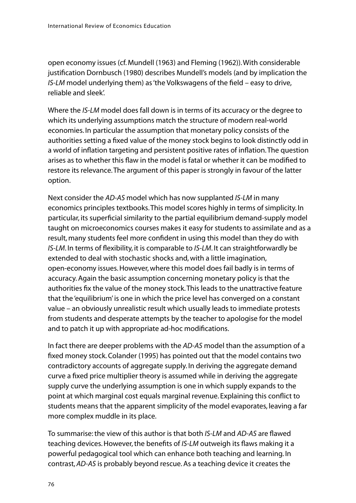open economy issues (cf. Mundell (1963) and Fleming (1962)).With considerable justification Dornbusch (1980) describes Mundell's models (and by implication the *IS-LM* model underlying them) as 'the Volkswagens of the field – easy to drive, reliable and sleek'.

Where the *IS-LM* model does fall down is in terms of its accuracy or the degree to which its underlying assumptions match the structure of modern real-world economies. In particular the assumption that monetary policy consists of the authorities setting a fixed value of the money stock begins to look distinctly odd in a world of inflation targeting and persistent positive rates of inflation.The question arises as to whether this flaw in the model is fatal or whether it can be modified to restore its relevance.The argument of this paper is strongly in favour of the latter option.

Next consider the *AD-AS* model which has now supplanted *IS-LM* in many economics principles textbooks.This model scores highly in terms of simplicity. In particular, its superficial similarity to the partial equilibrium demand-supply model taught on microeconomics courses makes it easy for students to assimilate and as a result, many students feel more confident in using this model than they do with *IS-LM*. In terms of flexibility, it is comparable to *IS-LM*. It can straightforwardly be extended to deal with stochastic shocks and, with a little imagination, open-economy issues. However, where this model does fail badly is in terms of accuracy. Again the basic assumption concerning monetary policy is that the authorities fix the value of the money stock.This leads to the unattractive feature that the 'equilibrium' is one in which the price level has converged on a constant value – an obviously unrealistic result which usually leads to immediate protests from students and desperate attempts by the teacher to apologise for the model and to patch it up with appropriate ad-hoc modifications.

In fact there are deeper problems with the *AD-AS* model than the assumption of a fixed money stock. Colander (1995) has pointed out that the model contains two contradictory accounts of aggregate supply. In deriving the aggregate demand curve a fixed price multiplier theory is assumed while in deriving the aggregate supply curve the underlying assumption is one in which supply expands to the point at which marginal cost equals marginal revenue. Explaining this conflict to students means that the apparent simplicity of the model evaporates, leaving a far more complex muddle in its place.

To summarise: the view of this author is that both *IS-LM* and *AD-AS* are flawed teaching devices. However, the benefits of *IS-LM* outweigh its flaws making it a powerful pedagogical tool which can enhance both teaching and learning. In contrast,*AD-AS* is probably beyond rescue. As a teaching device it creates the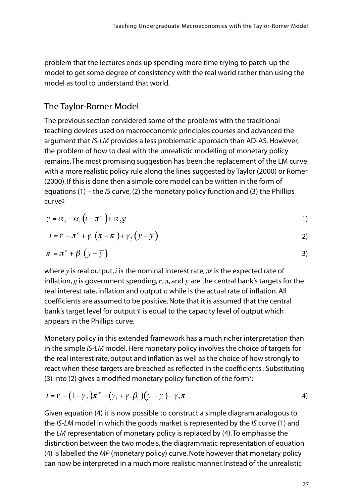problem that the lectures ends up spending more time trying to patch-up the model to get some degree of consistency with the real world rather than using the model as tool to understand that world.

# The Taylor-Romer Model

The previous section considered some of the problems with the traditional teaching devices used on macroeconomic principles courses and advanced the argument that *IS-LM* provides a less problematic approach than AD-AS. However, the problem of how to deal with the unrealistic modelling of monetary policy remains.The most promising suggestion has been the replacement of the LM curve with a more realistic policy rule along the lines suggested by Taylor (2000) or Romer (2000). If this is done then a simple core model can be written in the form of equations (1) – the *IS* curve, (2) the monetary policy function and (3) the Phillips curve2

$$
y = \alpha_0 - \alpha_1 \left( i - \pi^e \right) + \alpha_2 g \tag{1}
$$

$$
i = \overline{r} + \pi^e + \gamma_1 \left( \pi - \overline{\pi} \right) + \gamma_2 \left( y - \overline{y} \right)
$$

$$
\pi = \pi^* + \beta_1 (y - \overline{y})
$$

where *y* is real output, *i* is the nominal interest rate, π*e* is the expected rate of inflation, *g* is government spending,*r –*, π *–*, and *y –* are the central bank's targets for the real interest rate, inflation and output  $\pi$  while is the actual rate of inflation. All coefficients are assumed to be positive. Note that it is assumed that the central bank's target level for output  $\overline{y}$  is equal to the capacity level of output which appears in the Phillips curve.

Monetary policy in this extended framework has a much richer interpretation than in the simple *IS-LM* model. Here monetary policy involves the choice of targets for the real interest rate, output and inflation as well as the choice of how strongly to react when these targets are breached as reflected in the coefficients . Substituting (3) into (2) gives a modified monetary policy function of the form3:

$$
i = \overline{r} + (1 + \gamma_2) \pi^* + (\gamma_1 + \gamma_2 \beta_1)(y - \overline{y}) - \gamma_2 \overline{\pi}
$$

Given equation (4) it is now possible to construct a simple diagram analogous to the *IS-LM* model in which the goods market is represented by the *IS* curve (1) and the *LM* representation of monetary policy is replaced by (4).To emphasise the distinction between the two models, the diagrammatic representation of equation (4) is labelled the *MP* (monetary policy) curve. Note however that monetary policy can now be interpreted in a much more realistic manner. Instead of the unrealistic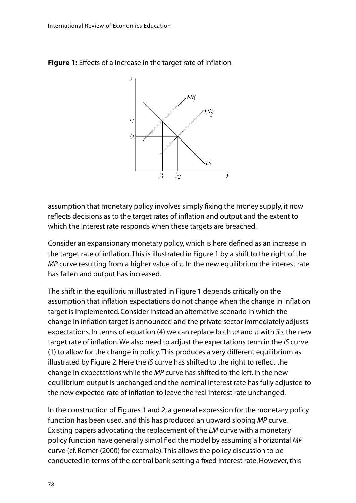

**Figure 1:** Effects of a increase in the target rate of inflation

assumption that monetary policy involves simply fixing the money supply, it now reflects decisions as to the target rates of inflation and output and the extent to which the interest rate responds when these targets are breached.

Consider an expansionary monetary policy, which is here defined as an increase in the target rate of inflation.This is illustrated in Figure 1 by a shift to the right of the *MP* curve resulting from a higher value of π. In the new equilibrium the interest rate has fallen and output has increased.

The shift in the equilibrium illustrated in Figure 1 depends critically on the assumption that inflation expectations do not change when the change in inflation target is implemented. Consider instead an alternative scenario in which the change in inflation target is announced and the private sector immediately adjusts expectations. In terms of equation (4) we can replace both π*e* and π \_ with π –*2*, the new target rate of inflation.We also need to adjust the expectations term in the *IS* curve (1) to allow for the change in policy.This produces a very different equilibrium as illustrated by Figure 2. Here the *IS* curve has shifted to the right to reflect the change in expectations while the *MP* curve has shifted to the left. In the new equilibrium output is unchanged and the nominal interest rate has fully adjusted to the new expected rate of inflation to leave the real interest rate unchanged.

In the construction of Figures 1 and 2, a general expression for the monetary policy function has been used, and this has produced an upward sloping *MP* curve. Existing papers advocating the replacement of the *LM* curve with a monetary policy function have generally simplified the model by assuming a horizontal *MP* curve (cf. Romer (2000) for example).This allows the policy discussion to be conducted in terms of the central bank setting a fixed interest rate. However, this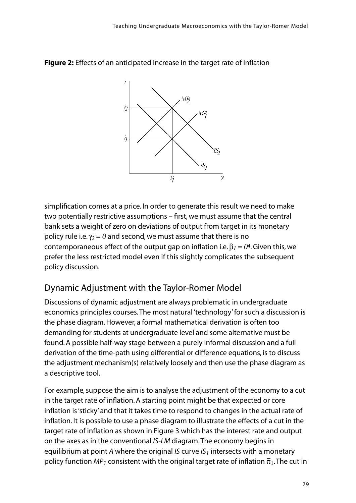

#### **Figure 2:** Effects of an anticipated increase in the target rate of inflation

simplification comes at a price. In order to generate this result we need to make two potentially restrictive assumptions – first, we must assume that the central bank sets a weight of zero on deviations of output from target in its monetary policy rule i.e.  $\gamma_2 = 0$  and second, we must assume that there is no contemporaneous effect of the output gap on inflation i.e.β*<sup>1</sup>* = *0*4. Given this, we prefer the less restricted model even if this slightly complicates the subsequent policy discussion.

# Dynamic Adjustment with the Taylor-Romer Model

Discussions of dynamic adjustment are always problematic in undergraduate economics principles courses.The most natural 'technology' for such a discussion is the phase diagram.However, a formal mathematical derivation is often too demanding for students at undergraduate level and some alternative must be found.A possible half-way stage between a purely informal discussion and a full derivation of the time-path using differential or difference equations, is to discuss the adjustment mechanism(s) relatively loosely and then use the phase diagram as a descriptive tool.

For example, suppose the aim is to analyse the adjustment of the economy to a cut in the target rate of inflation. A starting point might be that expected or core inflation is 'sticky' and that it takes time to respond to changes in the actual rate of inflation. It is possible to use a phase diagram to illustrate the effects of a cut in the target rate of inflation as shown in Figure 3 which has the interest rate and output on the axes as in the conventional *IS-LM* diagram.The economy begins in equilibrium at point *A* where the original *IS* curve *IS1* intersects with a monetary **policy function**  $MP_1$  **consistent with the original target rate of inflation**  $\bar{\pi}_1$ **. The cut in**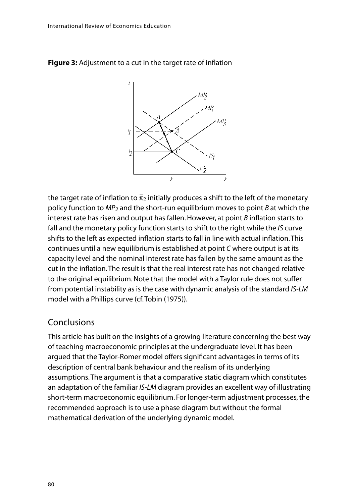

**Figure 3:** Adjustment to a cut in the target rate of inflation

the target rate of inflation to  $\bar{\pi}_2$  initially produces a shift to the left of the monetary policy function to *MP2* and the short-run equilibrium moves to point *B* at which the interest rate has risen and output has fallen. However, at point *B* inflation starts to fall and the monetary policy function starts to shift to the right while the *IS* curve shifts to the left as expected inflation starts to fall in line with actual inflation.This continues until a new equilibrium is established at point *C* where output is at its capacity level and the nominal interest rate has fallen by the same amount as the cut in the inflation.The result is that the real interest rate has not changed relative to the original equilibrium. Note that the model with a Taylor rule does not suffer from potential instability as is the case with dynamic analysis of the standard *IS-LM* model with a Phillips curve (cf.Tobin (1975)).

#### Conclusions

This article has built on the insights of a growing literature concerning the best way of teaching macroeconomic principles at the undergraduate level. It has been argued that the Taylor-Romer model offers significant advantages in terms of its description of central bank behaviour and the realism of its underlying assumptions.The argument is that a comparative static diagram which constitutes an adaptation of the familiar *IS-LM* diagram provides an excellent way of illustrating short-term macroeconomic equilibrium. For longer-term adjustment processes, the recommended approach is to use a phase diagram but without the formal mathematical derivation of the underlying dynamic model.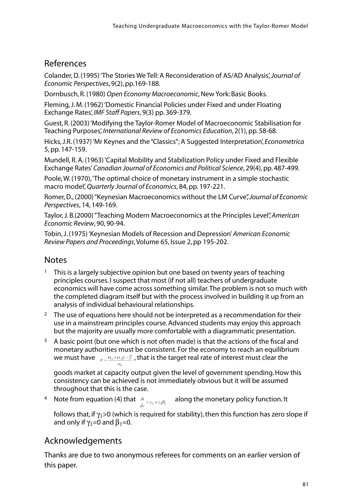## References

Colander, D. (1995) 'The Stories We Tell: A Reconsideration of AS/AD Analysis',*Journal of Economic Perspectives*, 9(2), pp.169-188.

Dornbusch, R. (1980) *Open Economy Macroeconomic*, New York: Basic Books.

Fleming, J. M. (1962) 'Domestic Financial Policies under Fixed and under Floating Exchange Rates', *IMF Staff Papers*, 9(3) pp. 369-379.

Guest, R. (2003) 'Modifying the Taylor-Romer Model of Macroeconomic Stabilisation for Teaching Purposes', *International Review of Economics Education*, 2(1), pp. 58-68.

Hicks, J.R. (1937) 'Mr Keynes and the "Classics"; A Suggested Interpretation', *Econometrica* 5, pp. 147-159.

Mundell, R. A. (1963) 'Capital Mobility and Stabilization Policy under Fixed and Flexible Exchange Rates'*Canadian Journal of Economics and Political Science*, 29(4), pp. 487-499.

Poole, W. (1970),'The optimal choice of monetary instrument in a simple stochastic macro model',*Quarterly Journal of Economics*, 84, pp. 197-221.

Romer, D., (2000) "Keynesian Macroeconomics without the LM Curve",*Journal of Economic Perspectives*, 14, 149-169.

Taylor, J. B.(2000) "Teaching Modern Macroeconomics at the Principles Level", *American Economic Review*, 90, 90-94.

Tobin,J. (1975) 'Keynesian Models of Recession and Depression'*American Economic Review Papers and Proceedings*, Volume 65, Issue 2, pp 195-202.

## **Notes**

- 1 This is a largely subjective opinion but one based on twenty years of teaching principles courses. I suspect that most (if not all) teachers of undergraduate economics will have come across something similar.The problem is not so much with the completed diagram itself but with the process involved in building it up from an analysis of individual behavioural relationships.
- <sup>2</sup> The use of equations here should not be interpreted as a recommendation for their use in a mainstream principles course. Advanced students may enjoy this approach but the majority are usually more comfortable with a diagrammatic presentation.
- 3 A basic point (but one which is not often made) is that the actions of the fiscal and monetary authorities must be consistent. For the economy to reach an equilibrium we must have  $\int_{r_1}^{\infty} \frac{a_2 + a_3g - \overline{g}}{g}$ , that is the target real rate of interest must clear the

goods market at capacity output given the level of government spending. How this consistency can be achieved is not immediately obvious but it will be assumed throughout that this is the case.

4 Note from equation (4) that  $\frac{di}{dx} = \gamma_2 + \gamma_1 \beta_1$  along the monetary policy function. It

follows that, if γ1>0 (which is required for stability), then this function has zero slope if and only if  $\gamma_1=0$  and  $\beta_1=0$ .

# Acknowledgements

Thanks are due to two anonymous referees for comments on an earlier version of this paper.